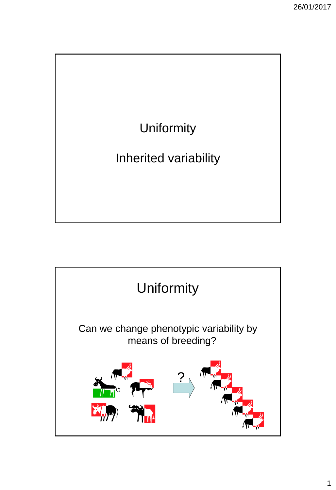

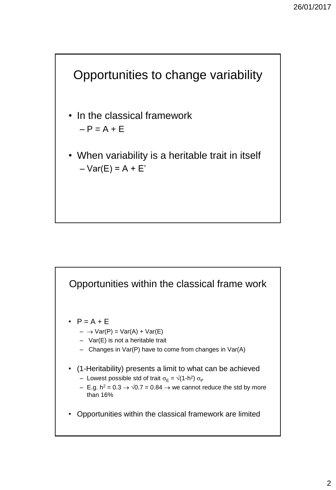

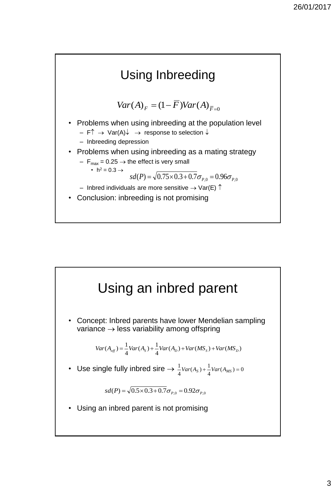

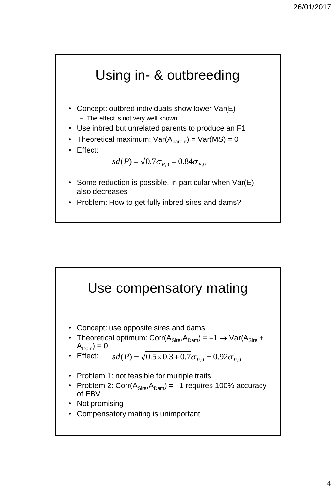

- Some reduction is possible, in particular when Var(E) also decreases
- Problem: How to get fully inbred sires and dams?

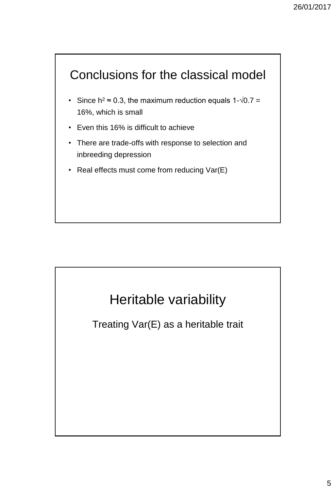



Treating Var(E) as a heritable trait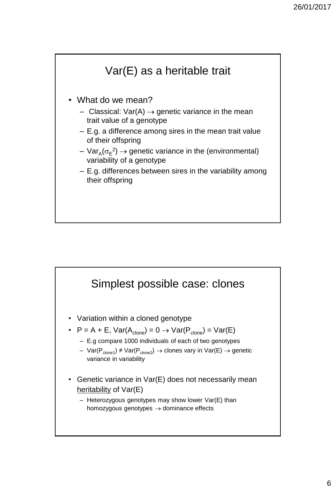

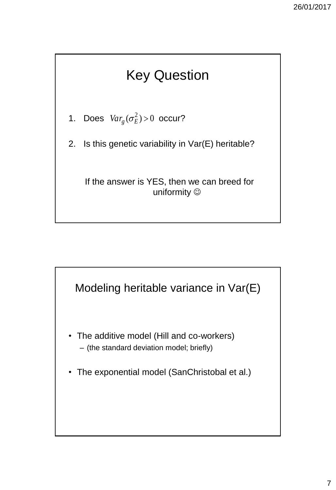# Key Question

1. Does  $Var_g(\sigma_E^2) > 0$  occur?

2. Is this genetic variability in Var(E) heritable?

If the answer is YES, then we can breed for uniformity  $\odot$ 

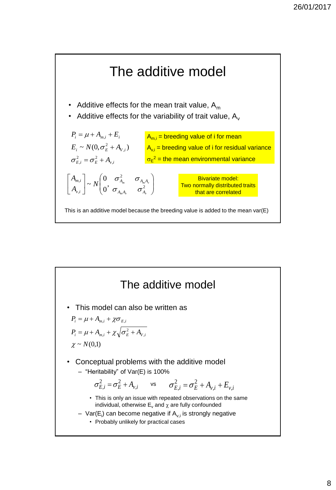

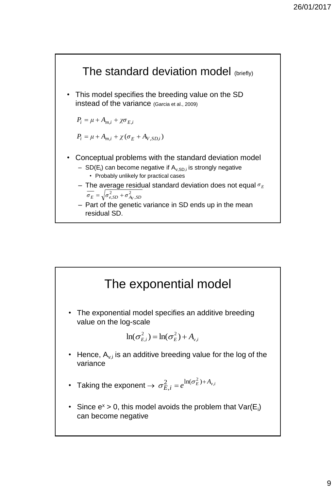

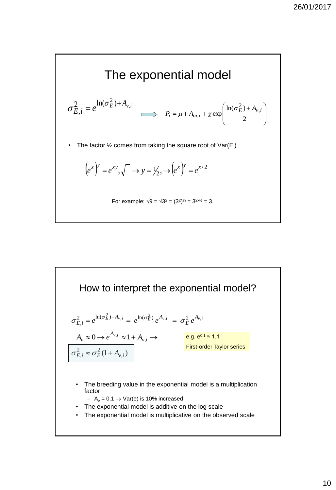

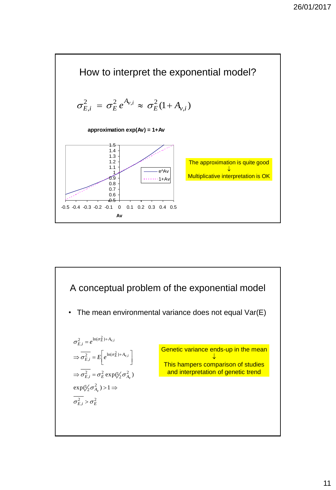

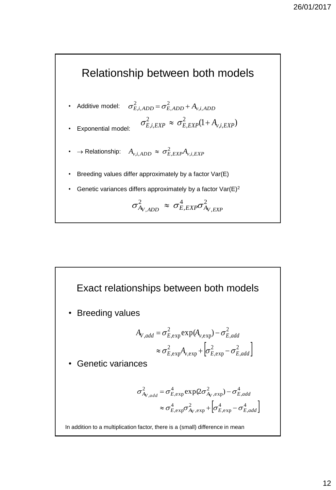

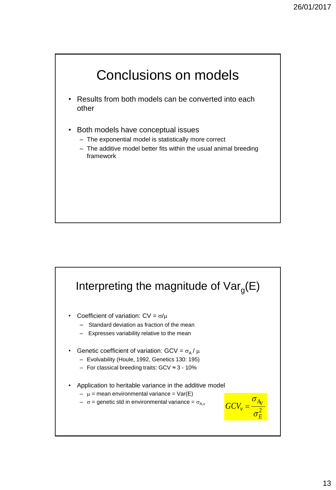

- Results from both models can be converted into each other
- Both models have conceptual issues
	- The exponential model is statistically more correct
	- The additive model better fits within the usual animal breeding framework

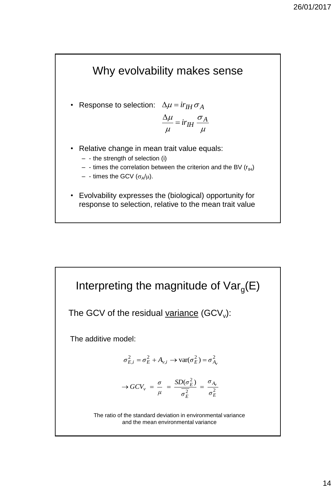

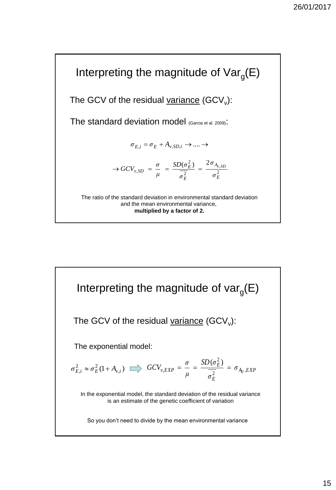

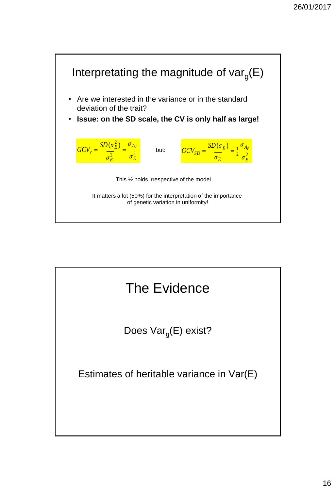

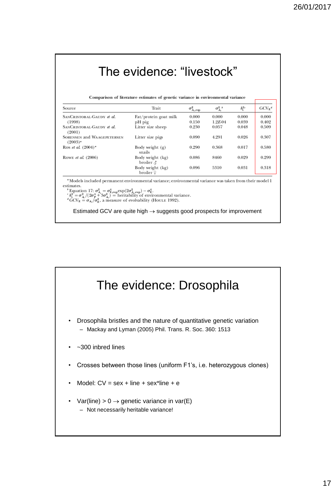| Comparison of literature estimates of genetic variance in environmental variance |                             |              |          |                           |  |  |  |
|----------------------------------------------------------------------------------|-----------------------------|--------------|----------|---------------------------|--|--|--|
| Trait                                                                            | $\sigma^2_{A_v,\text{exp}}$ | $\sigma_A^2$ | $h^{2c}$ | $GCV_E^d$                 |  |  |  |
| Fat/protein goat milk                                                            | 0.000                       | 0.000        | 0.000    | 0.000                     |  |  |  |
| pH pig                                                                           | 0.150                       | $1.2E-04$    | 0.039    | 0.402                     |  |  |  |
| Litter size sheep                                                                | 0.230                       | 0.057        | 0.048    | 0.509                     |  |  |  |
| Litter size pigs                                                                 | 0.090                       | 4.291        | 0.026    | 0.307                     |  |  |  |
| Body weight $(g)$<br>snails                                                      | 0.290                       | 0.368        | 0.017    | 0.580                     |  |  |  |
| Body weight (kg)<br>broiler $\delta$                                             | 0.086                       | 8460         | 0.029    | 0.299                     |  |  |  |
| Body weight (kg)<br>broiler ♀                                                    | 0.096                       | 5310         | 0.031    | 0.318                     |  |  |  |
|                                                                                  |                             |              |          | The evidence: "livestock" |  |  |  |

Estimated GCV are quite high  $\rightarrow$  suggests good prospects for improvement

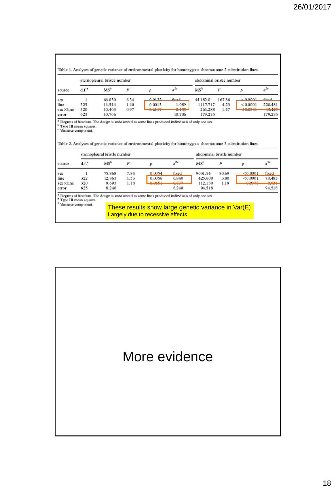|                                                                                  |            | sternopleural bristle number |      |                                                                                                                                                                                                                                    |                 |                          | abdominal bristle number |           |                    |  |  |  |
|----------------------------------------------------------------------------------|------------|------------------------------|------|------------------------------------------------------------------------------------------------------------------------------------------------------------------------------------------------------------------------------------|-----------------|--------------------------|--------------------------|-----------|--------------------|--|--|--|
| source                                                                           | $d.f.^*$   | MS <sup>b</sup>              | F    | Þ                                                                                                                                                                                                                                  | $\sigma^{2c}$   | MSb                      | F                        | Þ         | $\pi^{2c}$         |  |  |  |
| sex                                                                              | 1          | 66.030                       | 6.34 | 0.0122                                                                                                                                                                                                                             | fived           | 44 182.0                 | 167.86                   | 0.0001    | fixed              |  |  |  |
| line                                                                             | 325        | 14.544                       | 1.40 | 0.0013                                                                                                                                                                                                                             | 1.089           | 1117.717                 | 4.23                     | < 0.0001  | 220.481            |  |  |  |
| sex ×line                                                                        | 320<br>623 | 10.403<br>10.706             | 0.97 | 0.0117                                                                                                                                                                                                                             | 0.133<br>10.706 | 264.288<br>179.235       | 1.47                     | $-0.0001$ | 1.01427<br>179.235 |  |  |  |
|                                                                                  |            |                              |      |                                                                                                                                                                                                                                    |                 |                          |                          |           |                    |  |  |  |
| error<br><sup>b</sup> Type III mean squares.<br><sup>c</sup> Variance component. |            |                              |      | <sup>a</sup> Degrees of freedom. The design is unbalanced as some lines produced individuals of only one sex.<br>Table 2. Analyses of genetic variance of environmental plasticity for homozygous chromosome 3 substitution lines. |                 |                          |                          |           |                    |  |  |  |
|                                                                                  |            | sternopleural bristle number |      |                                                                                                                                                                                                                                    |                 | abdominal bristle number |                          |           |                    |  |  |  |
| source                                                                           | $d.f.^*$   | MS <sup>b</sup>              | F    | Þ                                                                                                                                                                                                                                  | $e^{2c}$        | MS <sup>b</sup>          | $\boldsymbol{F}$         | Þ         | $\pi^{2c}$         |  |  |  |
| sex                                                                              |            | 75.868                       | 7.84 | 0.0054                                                                                                                                                                                                                             | fixed           | 9031.54                  | 80.69                    | < 0.0001  | fixed              |  |  |  |
| line                                                                             | 322        | 12.863                       | 1.33 | 0.0056                                                                                                                                                                                                                             | 0.840           | 425.600                  | 3.80                     | < 0.0001  | 78.483             |  |  |  |
| sex×line<br>error                                                                | 320<br>625 | 9.693<br>8.240               | 1.18 | 0.0451                                                                                                                                                                                                                             | 0.727<br>8.240  | 112.130<br>94.518        | 1.19                     | 0.0272    | 0.026<br>94.518    |  |  |  |

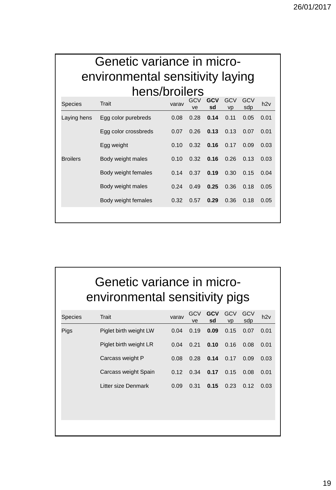#### Genetic variance in microenvironmental sensitivity laying hens/broilers

| <b>Species</b>  | Trait                | varav | <b>GCV</b><br>ve | <b>GCV</b><br>sd | <b>GCV</b><br><b>VD</b> | GCV<br>sdp | h2v  |
|-----------------|----------------------|-------|------------------|------------------|-------------------------|------------|------|
| Laying hens     | Egg color purebreds  | 0.08  | 0.28             | 0.14             | 0.11                    | 0.05       | 0.01 |
|                 | Egg color crossbreds | 0.07  | 0.26             | 0.13             | 0.13                    | 0.07       | 0.01 |
|                 | Egg weight           | 0.10  | 0.32             | 0.16             | 0.17                    | 0.09       | 0.03 |
| <b>Broilers</b> | Body weight males    | 0.10  | 0.32             | 0.16             | 0.26                    | 0.13       | 0.03 |
|                 | Body weight females  | 0.14  | 0.37             | 0.19             | 0.30                    | 0.15       | 0.04 |
|                 | Body weight males    | 0.24  | 0.49             | 0.25             | 0.36                    | 0.18       | 0.05 |
|                 | Body weight females  | 0.32  | 0.57             | 0.29             | 0.36                    | 0.18       | 0.05 |
|                 |                      |       |                  |                  |                         |            |      |

### Genetic variance in microenvironmental sensitivity pigs

| <b>Species</b> | Trait                  | varav | GCV<br>ve | <b>GCV</b><br>sd | <b>GCV</b><br><b>vp</b> | GCV<br>sdp | h2v  |
|----------------|------------------------|-------|-----------|------------------|-------------------------|------------|------|
| Pigs           | Piglet birth weight LW | 0.04  | 0.19      | 0.09             | 0.15                    | 0.07       | 0.01 |
|                | Piglet birth weight LR | 0.04  | 0.21      | 0.10             | 0.16                    | 0.08       | 0.01 |
|                | Carcass weight P       | 0.08  | 0.28      | 0.14             | 0.17                    | 0.09       | 0.03 |
|                | Carcass weight Spain   | 0.12  | 0.34      | 0.17             | 0.15                    | 0.08       | 0.01 |
|                | Litter size Denmark    | 0.09  | 0.31      | 0.15             | 0.23                    | 0.12       | 0.03 |
|                |                        |       |           |                  |                         |            |      |
|                |                        |       |           |                  |                         |            |      |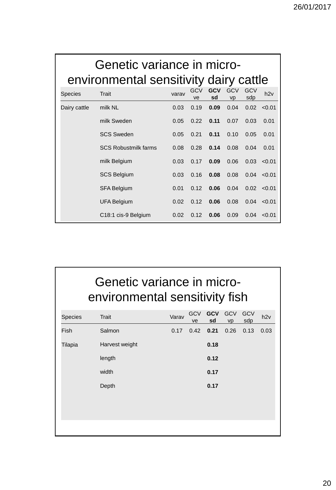|                | Genetic variance in micro-<br>environmental sensitivity dairy cattle |       |           |                  |                         |                   |        |
|----------------|----------------------------------------------------------------------|-------|-----------|------------------|-------------------------|-------------------|--------|
| <b>Species</b> | Trait                                                                | varav | GCV<br>ve | <b>GCV</b><br>sd | <b>GCV</b><br><b>VD</b> | <b>GCV</b><br>sdp | h2v    |
| Dairy cattle   | milk NL                                                              | 0.03  | 0.19      | 0.09             | 0.04                    | 0.02              | < 0.01 |
|                | milk Sweden                                                          | 0.05  | 0.22      | 0.11             | 0.07                    | 0.03              | 0.01   |
|                | <b>SCS Sweden</b>                                                    | 0.05  | 0.21      | 0.11             | 0.10                    | 0.05              | 0.01   |
|                | <b>SCS Robustmilk farms</b>                                          | 0.08  | 0.28      | 0.14             | 0.08                    | 0.04              | 0.01   |
|                | milk Belgium                                                         | 0.03  | 0.17      | 0.09             | 0.06                    | 0.03              | < 0.01 |
|                | <b>SCS Belgium</b>                                                   | 0.03  | 0.16      | 0.08             | 0.08                    | 0.04              | < 0.01 |
|                | <b>SFA Belgium</b>                                                   | 0.01  | 0.12      | 0.06             | 0.04                    | 0.02              | < 0.01 |
|                | <b>UFA Belgium</b>                                                   | 0.02  | 0.12      | 0.06             | 0.08                    | 0.04              | < 0.01 |
|                | C <sub>18:1</sub> cis-9 Belgium                                      | 0.02  | 0.12      | 0.06             | 0.09                    | 0.04              | < 0.01 |

## Genetic variance in microenvironmental sensitivity fish

| <b>Species</b> | Trait          | Varav | <b>GCV</b><br>ve | <b>GCV</b><br>sd | GCV<br>vp | GCV<br>sdp | h2v  |
|----------------|----------------|-------|------------------|------------------|-----------|------------|------|
| Fish           | Salmon         | 0.17  | 0.42             | 0.21             | 0.26      | 0.13       | 0.03 |
| Tilapia        | Harvest weight |       |                  | 0.18             |           |            |      |
|                | length         |       |                  | 0.12             |           |            |      |
|                | width          |       |                  | 0.17             |           |            |      |
|                | Depth          |       |                  | 0.17             |           |            |      |
|                |                |       |                  |                  |           |            |      |
|                |                |       |                  |                  |           |            |      |
|                |                |       |                  |                  |           |            |      |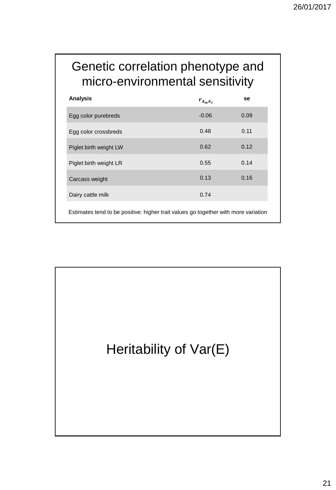#### Genetic correlation phenotype and micro-environmental sensitivity

| <b>Analysis</b>                                                                    | $r_{A_m A_v}$ | se   |
|------------------------------------------------------------------------------------|---------------|------|
| Egg color purebreds                                                                | $-0.06$       | 0.09 |
| Egg color crossbreds                                                               | 0.48          | 0.11 |
| Piglet birth weight LW                                                             | 0.62          | 0.12 |
| Piglet birth weight LR                                                             | 0.55          | 0.14 |
| Carcass weight                                                                     | 0.13          | 0.16 |
| Dairy cattle milk                                                                  | 0.74          |      |
| Estimates tend to be positive: higher trait values go together with more variation |               |      |

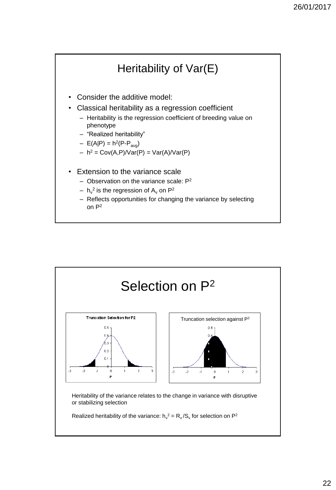

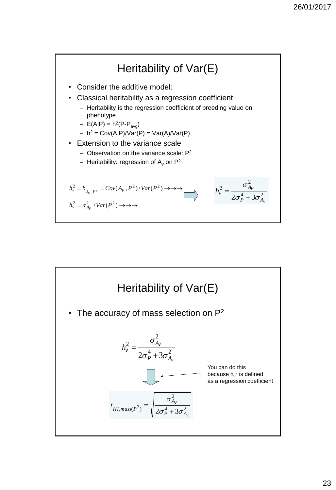

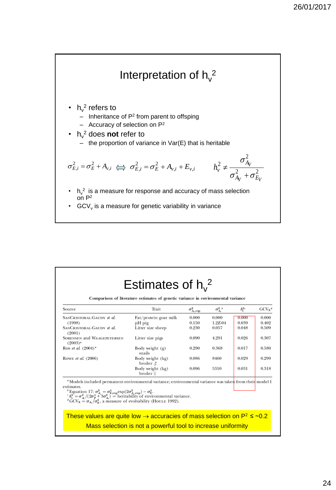

| Source                                                                                                                                                                                                                                                                                                                                                                                                                                            | Trait                                    | $\sigma^2_{A_v,\text{exp}}$ | $\sigma_A^2$ | $h^{2s}$ | $GCVF$ <sup>d</sup> |
|---------------------------------------------------------------------------------------------------------------------------------------------------------------------------------------------------------------------------------------------------------------------------------------------------------------------------------------------------------------------------------------------------------------------------------------------------|------------------------------------------|-----------------------------|--------------|----------|---------------------|
| SANCRISTOBAL-GAUDY et al.                                                                                                                                                                                                                                                                                                                                                                                                                         | Fat/protein goat milk                    | 0.000                       | 0.000        | 0.000    | 0.000               |
| (1998)                                                                                                                                                                                                                                                                                                                                                                                                                                            | pH pig                                   | 0.150                       | $1.2E-04$    | 0.039    | 0.402               |
| SANCRISTOBAL-GAUDY et al.<br>(2001)                                                                                                                                                                                                                                                                                                                                                                                                               | Litter size sheep                        | 0.230                       | 0.057        | 0.048    | 0.509               |
| <b>SORENSEN and WAAGEPETERSEN</b><br>$(2003)^4$                                                                                                                                                                                                                                                                                                                                                                                                   | Litter size pigs                         | 0.090                       | 4.291        | 0.026    | 0.307               |
| Ros et al. $(2004)^{o}$                                                                                                                                                                                                                                                                                                                                                                                                                           | Body weight $(g)$<br>snails              | 0.290                       | 0.368        | 0.017    | 0.580               |
| ROWE et al. (2006)                                                                                                                                                                                                                                                                                                                                                                                                                                | Body weight (kg)<br>broiler $\delta$     | 0.086                       | 8460         | 0.029    | 0.299               |
|                                                                                                                                                                                                                                                                                                                                                                                                                                                   | Body weight (kg)<br>broiler <sup>Q</sup> | 0.096                       | 5310         | 0.031    | 0.318               |
| <sup>4</sup> Models included permanent environmental variance; environmental variance was taken from their model 1<br>estimates.<br><sup><i>s</i></sup> Equation 17: $\sigma_A^2 = \sigma_{E,exp}^4 \exp(2\sigma_{A,exp}^2) - \sigma_E^4$ .<br>${}^c h_v^2 = \sigma_A^2/(2\sigma_p^4 + 3\sigma_A^2)$ = heritability of environmental variance.<br><sup>4</sup> GCV <sub>E</sub> = $\sigma_A/\sigma_E^2$ , a measure of evolvability (HOULE 1992). |                                          |                             |              |          |                     |